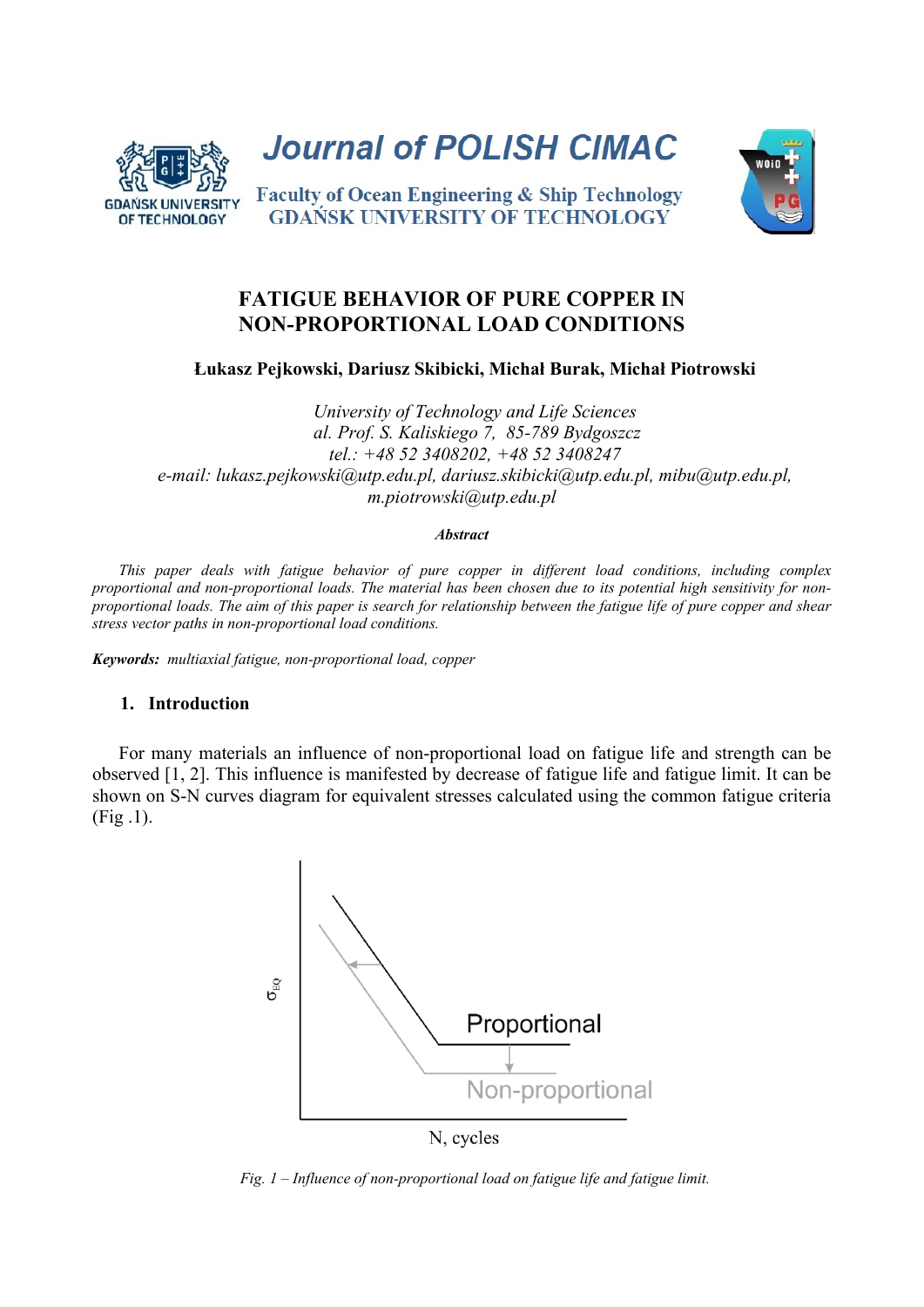

**Journal of POLISH CIMAC** 

## **Faculty of Ocean Engineering & Ship Technology GDANSK UNIVERSITY OF TECHNOLOGY**

# **FATIGUE BEHAVIOR OF PURE COPPER IN NON-PROPORTIONAL LOAD CONDITIONS**

**Łukasz Pejkowski, Dariusz Skibicki, Michał Burak, Michał Piotrowski** 

*University of Technology and Life Sciences al. Prof. S. Kaliskiego 7, 85-789 Bydgoszcz tel.: +48 52 3408202, +48 52 3408247 e-mail: lukasz.pejkowski@utp.edu.pl, dariusz.skibicki@utp.edu.pl, mibu@utp.edu.pl, m.piotrowski@utp.edu.pl* 

#### *Abstract*

*This paper deals with fatigue behavior of pure copper in different load conditions, including complex proportional and non-proportional loads. The material has been chosen due to its potential high sensitivity for nonproportional loads. The aim of this paper is search for relationship between the fatigue life of pure copper and shear stress vector paths in non-proportional load conditions.* 

*Keywords: multiaxial fatigue, non-proportional load, copper*

### **1. Introduction**

 For many materials an influence of non-proportional load on fatigue life and strength can be observed [1, 2]. This influence is manifested by decrease of fatigue life and fatigue limit. It can be shown on S-N curves diagram for equivalent stresses calculated using the common fatigue criteria (Fig .1).



N, cycles

*Fig. 1 – Influence of non-proportional load on fatigue life and fatigue limit.*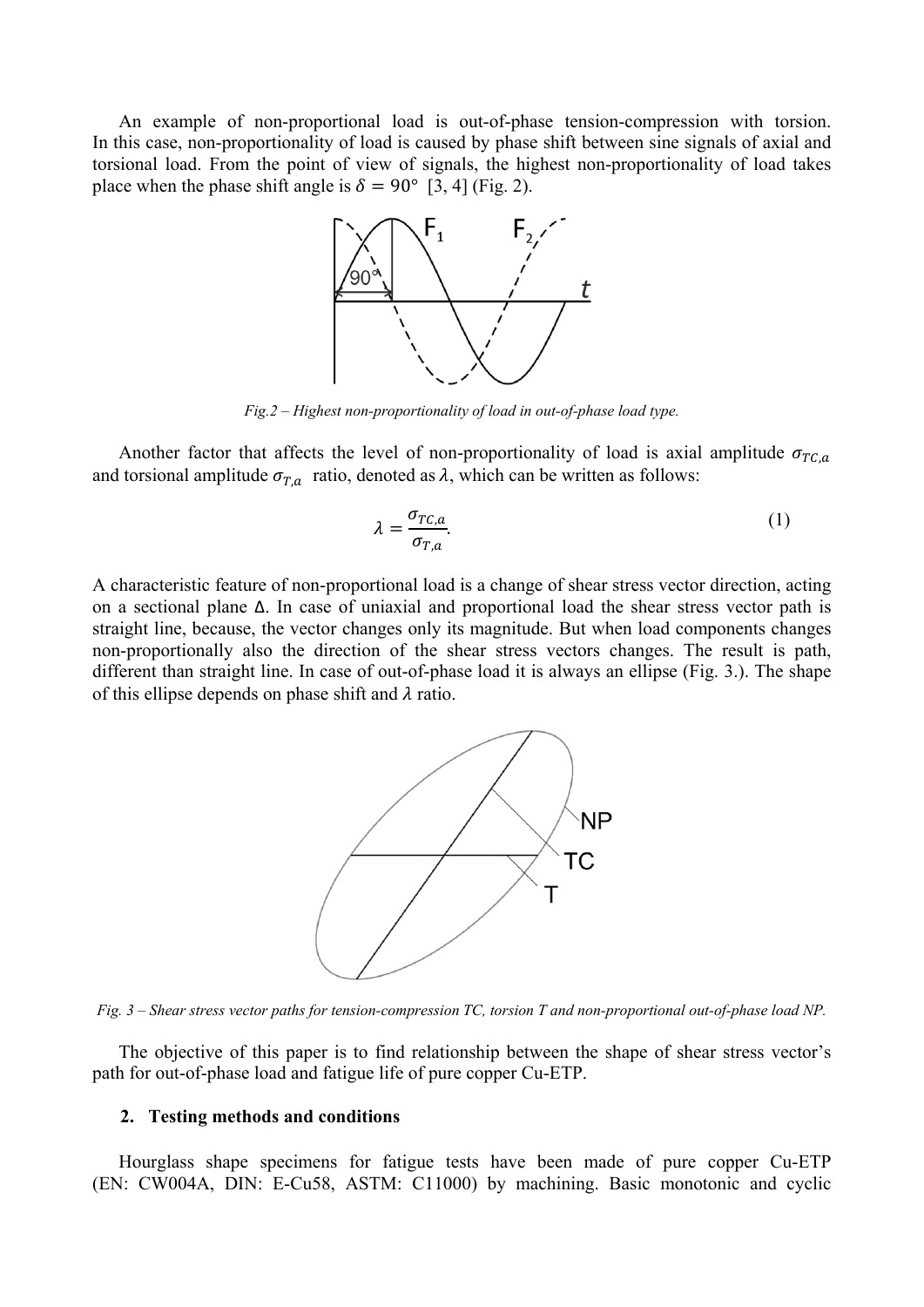An example of non-proportional load is out-of-phase tension-compression with torsion. In this case, non-proportionality of load is caused by phase shift between sine signals of axial and torsional load. From the point of view of signals, the highest non-proportionality of load takes place when the phase shift angle is  $\delta = 90^{\circ}$  [3, 4] (Fig. 2).



*Fig.2 – Highest non-proportionality of load in out-of-phase load type.*

Another factor that affects the level of non-proportionality of load is axial amplitude  $\sigma_{TC,a}$ and torsional amplitude  $\sigma_{T,a}$  ratio, denoted as  $\lambda$ , which can be written as follows:

$$
\lambda = \frac{\sigma_{TC,a}}{\sigma_{T,a}}.\tag{1}
$$

A characteristic feature of non-proportional load is a change of shear stress vector direction, acting on a sectional plane Δ. In case of uniaxial and proportional load the shear stress vector path is straight line, because, the vector changes only its magnitude. But when load components changes non-proportionally also the direction of the shear stress vectors changes. The result is path, different than straight line. In case of out-of-phase load it is always an ellipse (Fig. 3.). The shape of this ellipse depends on phase shift and  $\lambda$  ratio.



*Fig. 3 – Shear stress vector paths for tension-compression TC, torsion T and non-proportional out-of-phase load NP.* 

 The objective of this paper is to find relationship between the shape of shear stress vector's path for out-of-phase load and fatigue life of pure copper Cu-ETP.

#### **2. Testing methods and conditions**

 Hourglass shape specimens for fatigue tests have been made of pure copper Cu-ETP (EN: CW004A, DIN: E-Cu58, ASTM: C11000) by machining. Basic monotonic and cyclic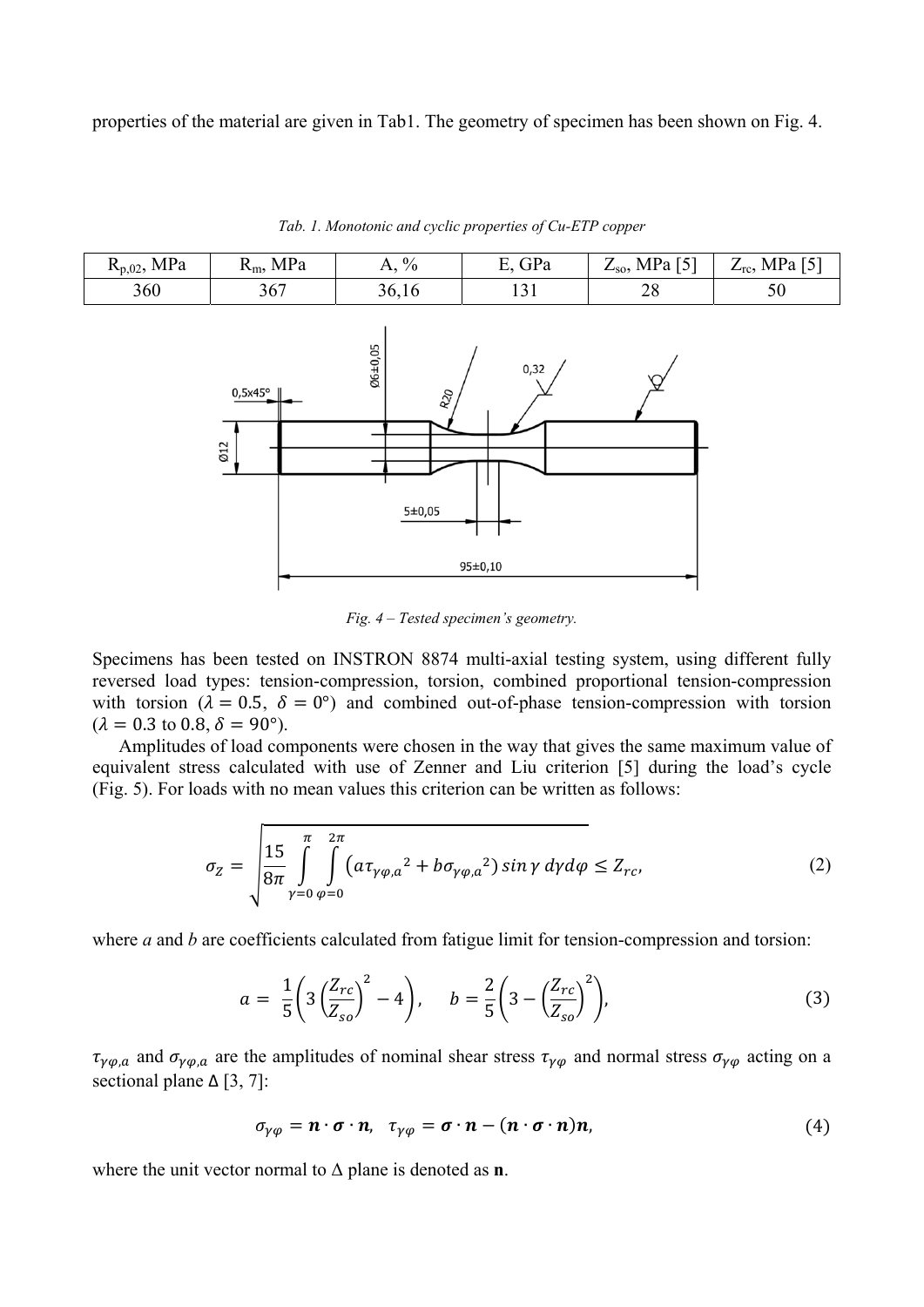properties of the material are given in Tab1. The geometry of specimen has been shown on Fig. 4.

| $R_{p,02}$ , MPa | $R_m$ , MPa | $A, \%$ | E, GPa | $Z_{so}$ , MPa [5] | $Z_{\text{rc}}$ , MPa [5] |
|------------------|-------------|---------|--------|--------------------|---------------------------|
| 360              | 367         | 36,16   |        | າດ<br>∠о           | υU                        |

*Tab. 1. Monotonic and cyclic properties of Cu-ETP copper* 



*Fig. 4 – Tested specimen's geometry.*

Specimens has been tested on INSTRON 8874 multi-axial testing system, using different fully reversed load types: tension-compression, torsion, combined proportional tension-compression with torsion ( $\lambda = 0.5$ ,  $\delta = 0^{\circ}$ ) and combined out-of-phase tension-compression with torsion  $(\lambda = 0.3 \text{ to } 0.8, \delta = 90^{\circ}).$ 

 Amplitudes of load components were chosen in the way that gives the same maximum value of equivalent stress calculated with use of Zenner and Liu criterion [5] during the load's cycle (Fig. 5). For loads with no mean values this criterion can be written as follows:

$$
\sigma_Z = \sqrt{\frac{15}{8\pi} \int_{\gamma=0}^{\pi} \int_{\varphi=0}^{2\pi} \left( a \tau_{\gamma\varphi,a}^2 + b \sigma_{\gamma\varphi,a}^2 \right) \sin \gamma \, d\gamma d\varphi} \le Z_{rc},\tag{2}
$$

where *a* and *b* are coefficients calculated from fatigue limit for tension-compression and torsion:

$$
a = \frac{1}{5} \left( 3 \left( \frac{Z_{rc}}{Z_{so}} \right)^2 - 4 \right), \quad b = \frac{2}{5} \left( 3 - \left( \frac{Z_{rc}}{Z_{so}} \right)^2 \right), \tag{3}
$$

 $\tau_{\gamma\varphi,a}$  and  $\sigma_{\gamma\varphi,a}$  are the amplitudes of nominal shear stress  $\tau_{\gamma\varphi}$  and normal stress  $\sigma_{\gamma\varphi}$  acting on a sectional plane  $\Delta$  [3, 7]:

$$
\sigma_{\gamma\varphi} = \mathbf{n} \cdot \boldsymbol{\sigma} \cdot \mathbf{n}, \quad \tau_{\gamma\varphi} = \boldsymbol{\sigma} \cdot \mathbf{n} - (\mathbf{n} \cdot \boldsymbol{\sigma} \cdot \mathbf{n}) \mathbf{n}, \tag{4}
$$

where the unit vector normal to Δ plane is denoted as **n**.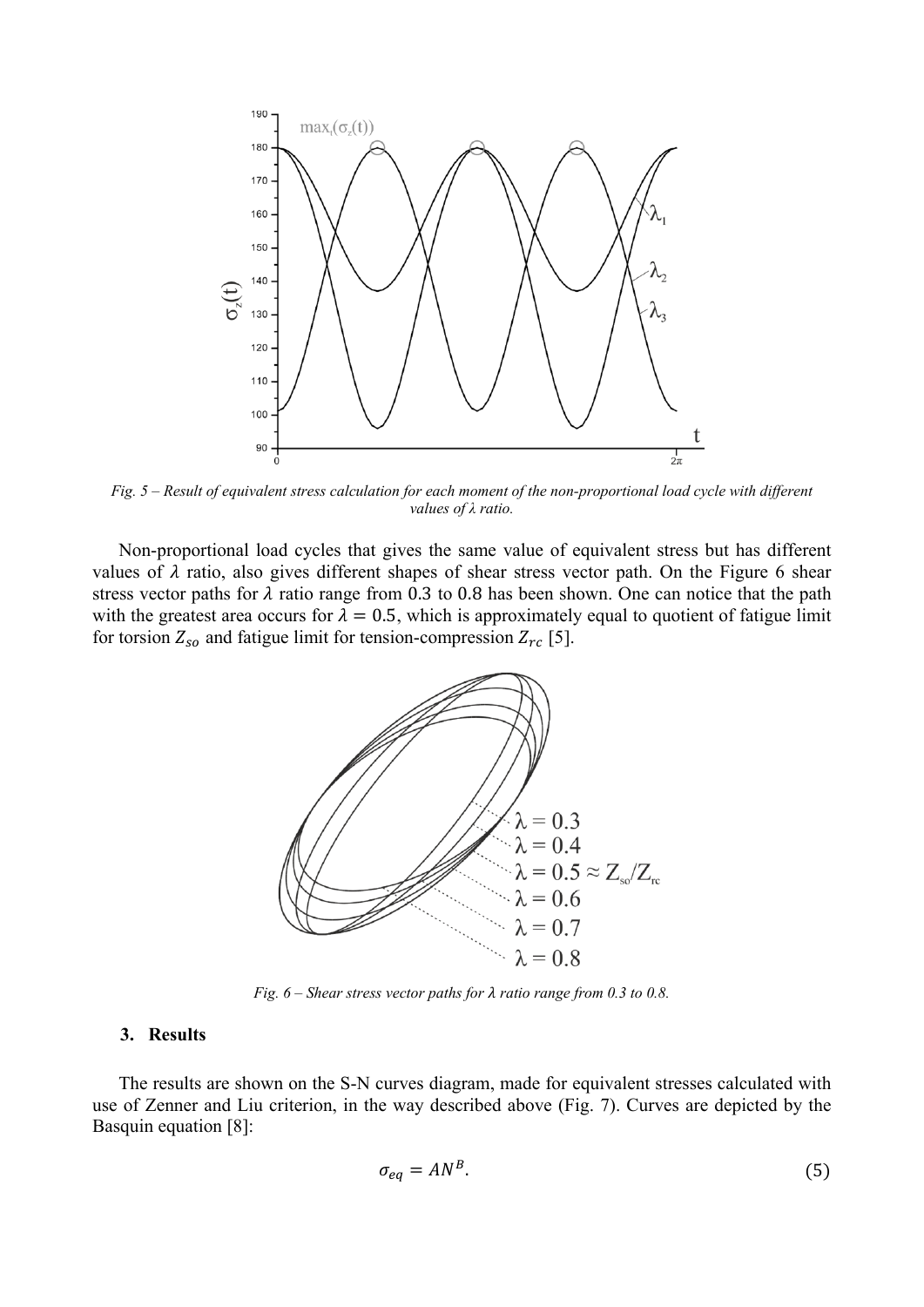

*Fig. 5 – Result of equivalent stress calculation for each moment of the non-proportional load cycle with different values of λ ratio.*

 Non-proportional load cycles that gives the same value of equivalent stress but has different values of  $\lambda$  ratio, also gives different shapes of shear stress vector path. On the Figure 6 shear stress vector paths for  $\lambda$  ratio range from 0.3 to 0.8 has been shown. One can notice that the path with the greatest area occurs for  $\lambda = 0.5$ , which is approximately equal to quotient of fatigue limit for torsion  $Z_{so}$  and fatigue limit for tension-compression  $Z_{rc}$  [5].



*Fig. 6 – Shear stress vector paths for*  $\lambda$  *ratio range from 0.3 to 0.8.* 

#### **3. Results**

 The results are shown on the S-N curves diagram, made for equivalent stresses calculated with use of Zenner and Liu criterion, in the way described above (Fig. 7). Curves are depicted by the Basquin equation [8]:

$$
\sigma_{eq} = AN^B. \tag{5}
$$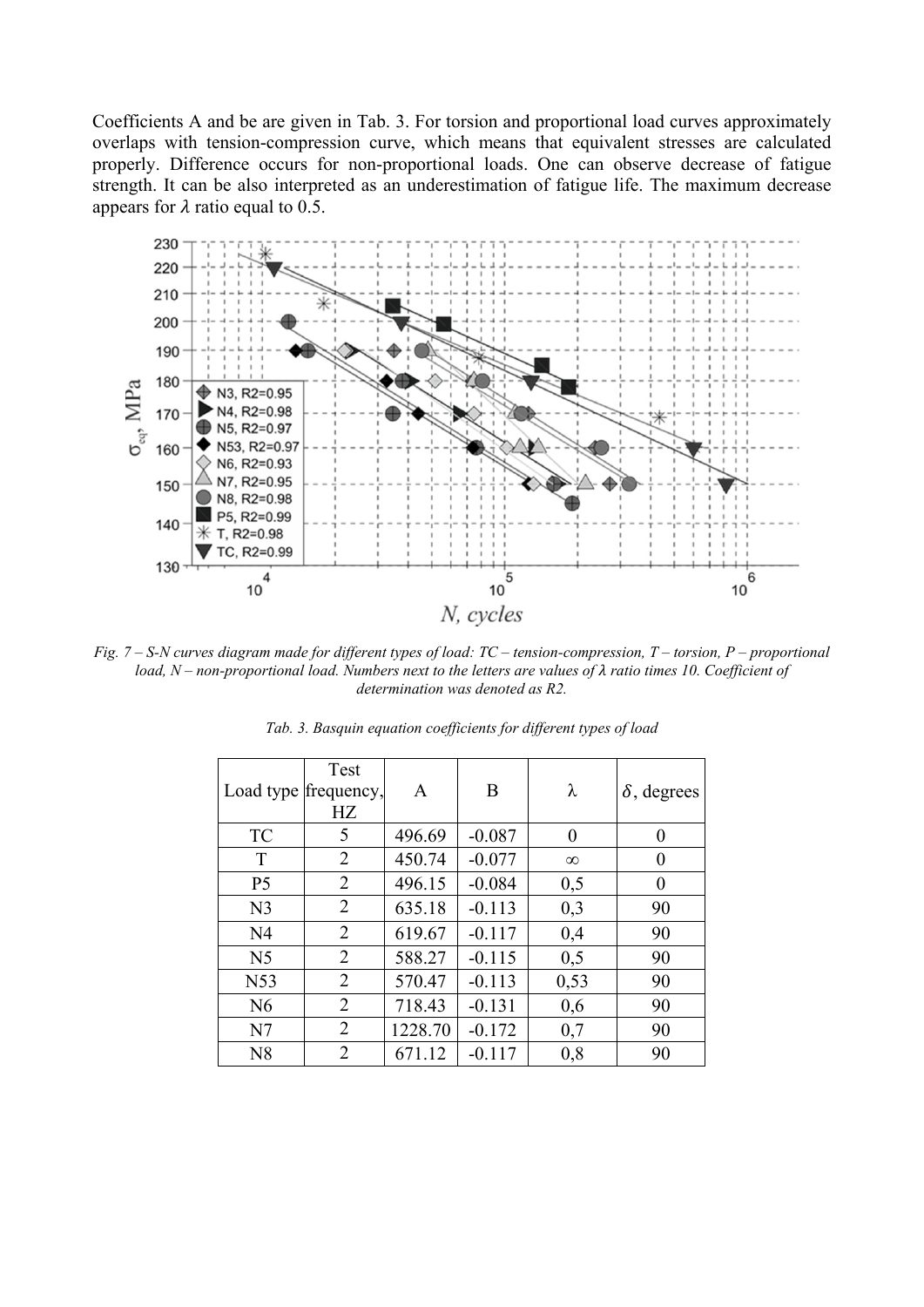Coefficients A and be are given in Tab. 3. For torsion and proportional load curves approximately overlaps with tension-compression curve, which means that equivalent stresses are calculated properly. Difference occurs for non-proportional loads. One can observe decrease of fatigue strength. It can be also interpreted as an underestimation of fatigue life. The maximum decrease appears for  $\lambda$  ratio equal to 0.5.



*Fig. 7 – S-N curves diagram made for different types of load: TC – tension-compression, T – torsion, P – proportional load, N – non-proportional load. Numbers next to the letters are values of λ ratio times 10. Coefficient of determination was denoted as R2.* 

| Load type frequency, | Test<br>HZ     | A       | B        | λ              | $\delta$ , degrees |
|----------------------|----------------|---------|----------|----------------|--------------------|
| TC                   | 5              | 496.69  | $-0.087$ | $\overline{0}$ | $\theta$           |
| T                    | 2              | 450.74  | $-0.077$ | $\infty$       | $\theta$           |
| P <sub>5</sub>       | $\overline{2}$ | 496.15  | $-0.084$ | 0,5            | $\theta$           |
| N <sub>3</sub>       | $\overline{2}$ | 635.18  | $-0.113$ | 0,3            | 90                 |
| N <sub>4</sub>       | 2              | 619.67  | $-0.117$ | 0,4            | 90                 |
| N <sub>5</sub>       | 2              | 588.27  | $-0.115$ | 0,5            | 90                 |
| N53                  | 2              | 570.47  | $-0.113$ | 0,53           | 90                 |
| N6                   | 2              | 718.43  | $-0.131$ | 0,6            | 90                 |
| N7                   | 2              | 1228.70 | $-0.172$ | 0,7            | 90                 |
| N8                   | 2              | 671.12  | $-0.117$ | 0,8            | 90                 |

*Tab. 3. Basquin equation coefficients for different types of load*